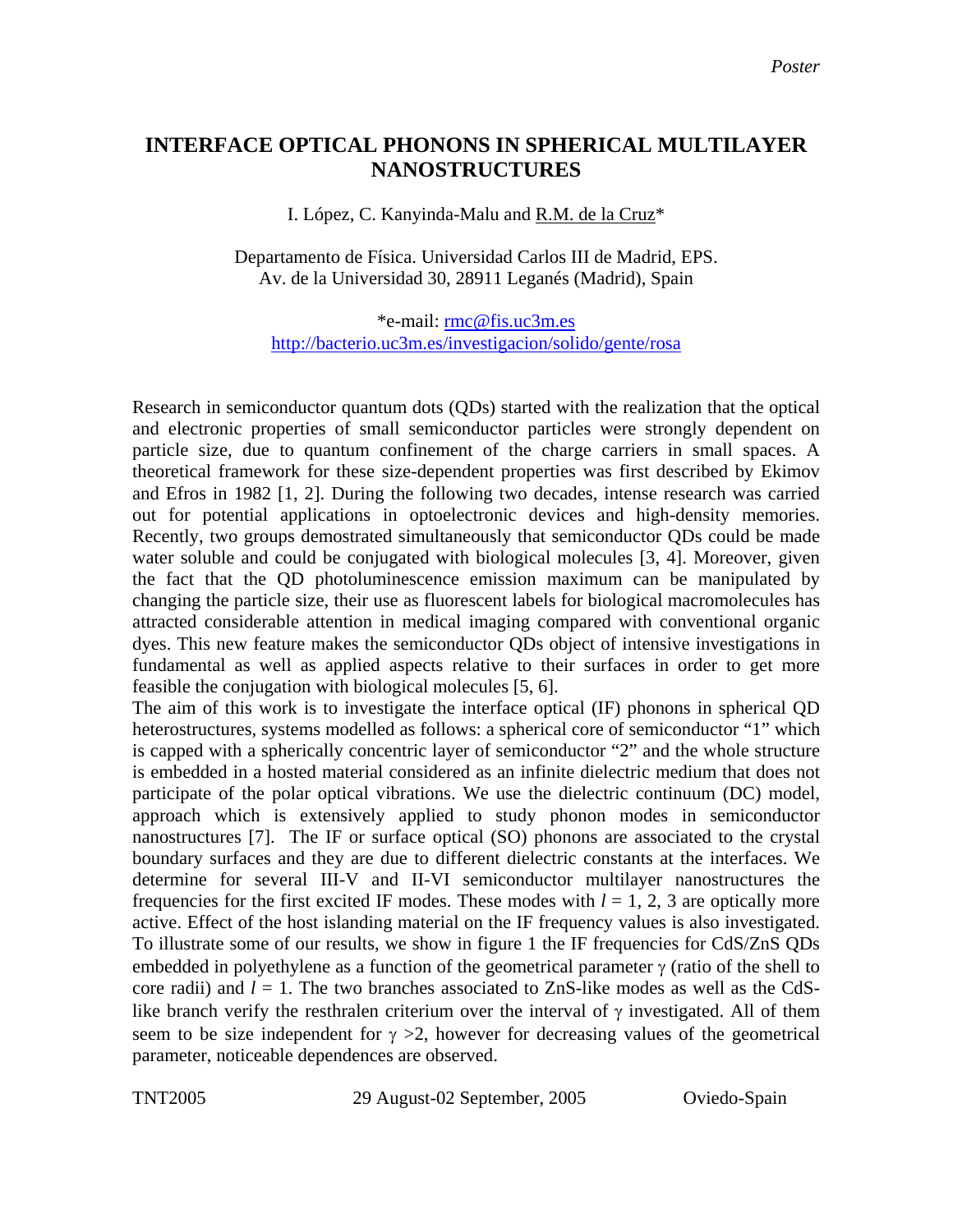## **INTERFACE OPTICAL PHONONS IN SPHERICAL MULTILAYER NANOSTRUCTURES**

I. López, C. Kanyinda-Malu and R.M. de la Cruz\*

Departamento de Física. Universidad Carlos III de Madrid, EPS. Av. de la Universidad 30, 28911 Leganés (Madrid), Spain

\*e-mail: [rmc@fis.uc3m.es](mailto:rmc@fis.uc3m.es) <http://bacterio.uc3m.es/investigacion/solido/gente/rosa>

Research in semiconductor quantum dots (QDs) started with the realization that the optical and electronic properties of small semiconductor particles were strongly dependent on particle size, due to quantum confinement of the charge carriers in small spaces. A theoretical framework for these size-dependent properties was first described by Ekimov and Efros in 1982 [1, 2]. During the following two decades, intense research was carried out for potential applications in optoelectronic devices and high-density memories. Recently, two groups demostrated simultaneously that semiconductor QDs could be made water soluble and could be conjugated with biological molecules [3, 4]. Moreover, given the fact that the QD photoluminescence emission maximum can be manipulated by changing the particle size, their use as fluorescent labels for biological macromolecules has attracted considerable attention in medical imaging compared with conventional organic dyes. This new feature makes the semiconductor QDs object of intensive investigations in fundamental as well as applied aspects relative to their surfaces in order to get more feasible the conjugation with biological molecules [5, 6].

The aim of this work is to investigate the interface optical (IF) phonons in spherical QD heterostructures, systems modelled as follows: a spherical core of semiconductor "1" which is capped with a spherically concentric layer of semiconductor "2" and the whole structure is embedded in a hosted material considered as an infinite dielectric medium that does not participate of the polar optical vibrations. We use the dielectric continuum (DC) model, approach which is extensively applied to study phonon modes in semiconductor nanostructures [7]. The IF or surface optical (SO) phonons are associated to the crystal boundary surfaces and they are due to different dielectric constants at the interfaces. We determine for several III-V and II-VI semiconductor multilayer nanostructures the frequencies for the first excited IF modes. These modes with  $l = 1, 2, 3$  are optically more active. Effect of the host islanding material on the IF frequency values is also investigated. To illustrate some of our results, we show in figure 1 the IF frequencies for CdS/ZnS QDs embedded in polyethylene as a function of the geometrical parameter  $\gamma$  (ratio of the shell to core radii) and  $l = 1$ . The two branches associated to ZnS-like modes as well as the CdSlike branch verify the resthralen criterium over the interval of  $\gamma$  investigated. All of them seem to be size independent for  $\gamma > 2$ , however for decreasing values of the geometrical parameter, noticeable dependences are observed.

TNT2005 29 August-02 September, 2005 Oviedo-Spain